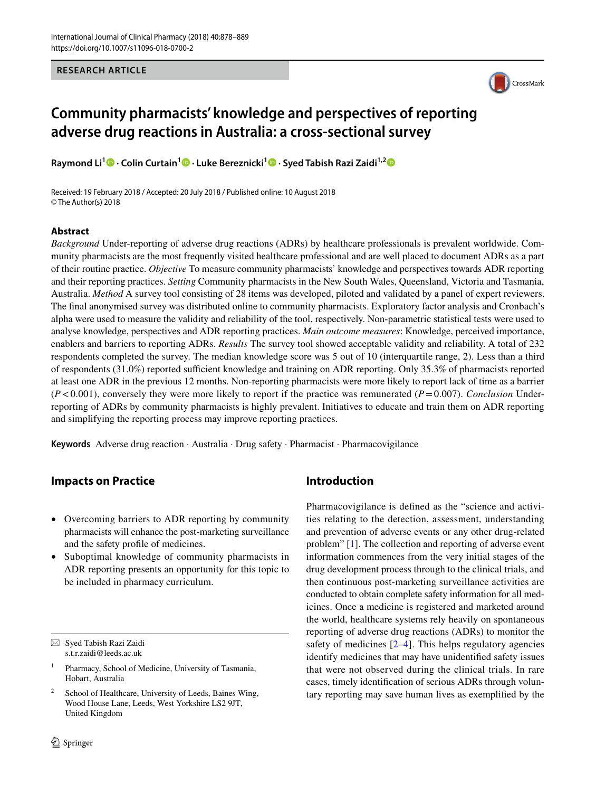**RESEARCH ARTICLE**



# **Community pharmacists' knowledge and perspectives of reporting adverse drug reactions in Australia: a cross‑sectional survey**

**Raymond Li1  [·](http://orcid.org/0000-0002-8040-4296) Colin Curtain1  [·](http://orcid.org/0000-0001-5029-7541) Luke Bereznicki<sup>1</sup> · Syed Tabish Razi Zaidi1,[2](http://orcid.org/0000-0002-2031-1055)**

Received: 19 February 2018 / Accepted: 20 July 2018 / Published online: 10 August 2018 © The Author(s) 2018

### **Abstract**

*Background* Under-reporting of adverse drug reactions (ADRs) by healthcare professionals is prevalent worldwide. Community pharmacists are the most frequently visited healthcare professional and are well placed to document ADRs as a part of their routine practice. *Objective* To measure community pharmacists' knowledge and perspectives towards ADR reporting and their reporting practices. *Setting* Community pharmacists in the New South Wales, Queensland, Victoria and Tasmania, Australia. *Method* A survey tool consisting of 28 items was developed, piloted and validated by a panel of expert reviewers. The fnal anonymised survey was distributed online to community pharmacists. Exploratory factor analysis and Cronbach's alpha were used to measure the validity and reliability of the tool, respectively. Non-parametric statistical tests were used to analyse knowledge, perspectives and ADR reporting practices. *Main outcome measures*: Knowledge, perceived importance, enablers and barriers to reporting ADRs. *Results* The survey tool showed acceptable validity and reliability. A total of 232 respondents completed the survey. The median knowledge score was 5 out of 10 (interquartile range, 2). Less than a third of respondents  $(31.0\%)$  reported sufficient knowledge and training on ADR reporting. Only 35.3% of pharmacists reported at least one ADR in the previous 12 months. Non-reporting pharmacists were more likely to report lack of time as a barrier  $(P<0.001)$ , conversely they were more likely to report if the practice was remunerated  $(P=0.007)$ . *Conclusion* Underreporting of ADRs by community pharmacists is highly prevalent. Initiatives to educate and train them on ADR reporting and simplifying the reporting process may improve reporting practices.

**Keywords** Adverse drug reaction · Australia · Drug safety · Pharmacist · Pharmacovigilance

# **Impacts on Practice**

- Overcoming barriers to ADR reporting by community pharmacists will enhance the post-marketing surveillance and the safety profle of medicines.
- Suboptimal knowledge of community pharmacists in ADR reporting presents an opportunity for this topic to be included in pharmacy curriculum.

# **Introduction**

Pharmacovigilance is defned as the "science and activities relating to the detection, assessment, understanding and prevention of adverse events or any other drug-related problem" [[1\]](#page-10-0). The collection and reporting of adverse event information commences from the very initial stages of the drug development process through to the clinical trials, and then continuous post-marketing surveillance activities are conducted to obtain complete safety information for all medicines. Once a medicine is registered and marketed around the world, healthcare systems rely heavily on spontaneous reporting of adverse drug reactions (ADRs) to monitor the safety of medicines  $[2-4]$  $[2-4]$  $[2-4]$ . This helps regulatory agencies identify medicines that may have unidentifed safety issues that were not observed during the clinical trials. In rare cases, timely identifcation of serious ADRs through voluntary reporting may save human lives as exemplifed by the

 $\boxtimes$  Syed Tabish Razi Zaidi s.t.r.zaidi@leeds.ac.uk

<sup>&</sup>lt;sup>1</sup> Pharmacy, School of Medicine, University of Tasmania, Hobart, Australia

School of Healthcare, University of Leeds, Baines Wing, Wood House Lane, Leeds, West Yorkshire LS2 9JT, United Kingdom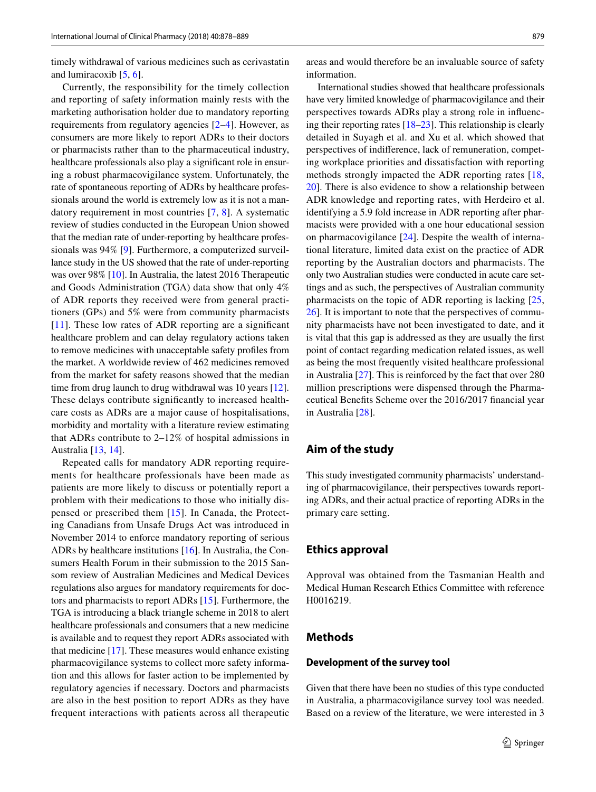timely withdrawal of various medicines such as cerivastatin and lumiracoxib  $[5, 6]$  $[5, 6]$  $[5, 6]$ .

Currently, the responsibility for the timely collection and reporting of safety information mainly rests with the marketing authorisation holder due to mandatory reporting requirements from regulatory agencies [\[2](#page-10-1)[–4](#page-10-2)]. However, as consumers are more likely to report ADRs to their doctors or pharmacists rather than to the pharmaceutical industry, healthcare professionals also play a signifcant role in ensuring a robust pharmacovigilance system. Unfortunately, the rate of spontaneous reporting of ADRs by healthcare professionals around the world is extremely low as it is not a mandatory requirement in most countries [[7](#page-10-5), [8\]](#page-10-6). A systematic review of studies conducted in the European Union showed that the median rate of under-reporting by healthcare professionals was 94% [\[9\]](#page-10-7). Furthermore, a computerized surveillance study in the US showed that the rate of under-reporting was over 98% [\[10](#page-10-8)]. In Australia, the latest 2016 Therapeutic and Goods Administration (TGA) data show that only 4% of ADR reports they received were from general practitioners (GPs) and 5% were from community pharmacists [[11\]](#page-10-9). These low rates of ADR reporting are a significant healthcare problem and can delay regulatory actions taken to remove medicines with unacceptable safety profles from the market. A worldwide review of 462 medicines removed from the market for safety reasons showed that the median time from drug launch to drug withdrawal was 10 years [\[12](#page-10-10)]. These delays contribute signifcantly to increased healthcare costs as ADRs are a major cause of hospitalisations, morbidity and mortality with a literature review estimating that ADRs contribute to 2–12% of hospital admissions in Australia [[13,](#page-10-11) [14\]](#page-10-12).

Repeated calls for mandatory ADR reporting requirements for healthcare professionals have been made as patients are more likely to discuss or potentially report a problem with their medications to those who initially dispensed or prescribed them [[15\]](#page-10-13). In Canada, the Protecting Canadians from Unsafe Drugs Act was introduced in November 2014 to enforce mandatory reporting of serious ADRs by healthcare institutions [\[16](#page-10-14)]. In Australia, the Consumers Health Forum in their submission to the 2015 Sansom review of Australian Medicines and Medical Devices regulations also argues for mandatory requirements for doctors and pharmacists to report ADRs [\[15](#page-10-13)]. Furthermore, the TGA is introducing a black triangle scheme in 2018 to alert healthcare professionals and consumers that a new medicine is available and to request they report ADRs associated with that medicine [\[17](#page-10-15)]. These measures would enhance existing pharmacovigilance systems to collect more safety information and this allows for faster action to be implemented by regulatory agencies if necessary. Doctors and pharmacists are also in the best position to report ADRs as they have frequent interactions with patients across all therapeutic areas and would therefore be an invaluable source of safety information.

International studies showed that healthcare professionals have very limited knowledge of pharmacovigilance and their perspectives towards ADRs play a strong role in infuencing their reporting rates [[18–](#page-10-16)[23\]](#page-11-0). This relationship is clearly detailed in Suyagh et al. and Xu et al. which showed that perspectives of indiference, lack of remuneration, competing workplace priorities and dissatisfaction with reporting methods strongly impacted the ADR reporting rates [\[18,](#page-10-16) [20](#page-10-17)]. There is also evidence to show a relationship between ADR knowledge and reporting rates, with Herdeiro et al. identifying a 5.9 fold increase in ADR reporting after pharmacists were provided with a one hour educational session on pharmacovigilance [[24\]](#page-11-1). Despite the wealth of international literature, limited data exist on the practice of ADR reporting by the Australian doctors and pharmacists. The only two Australian studies were conducted in acute care settings and as such, the perspectives of Australian community pharmacists on the topic of ADR reporting is lacking [[25,](#page-11-2) [26](#page-11-3)]. It is important to note that the perspectives of community pharmacists have not been investigated to date, and it is vital that this gap is addressed as they are usually the frst point of contact regarding medication related issues, as well as being the most frequently visited healthcare professional in Australia [\[27](#page-11-4)]. This is reinforced by the fact that over 280 million prescriptions were dispensed through the Pharmaceutical Benefts Scheme over the 2016/2017 fnancial year in Australia [\[28](#page-11-5)].

# **Aim of the study**

This study investigated community pharmacists' understanding of pharmacovigilance, their perspectives towards reporting ADRs, and their actual practice of reporting ADRs in the primary care setting.

### **Ethics approval**

Approval was obtained from the Tasmanian Health and Medical Human Research Ethics Committee with reference H0016219.

### **Methods**

### **Development of the survey tool**

Given that there have been no studies of this type conducted in Australia, a pharmacovigilance survey tool was needed. Based on a review of the literature, we were interested in 3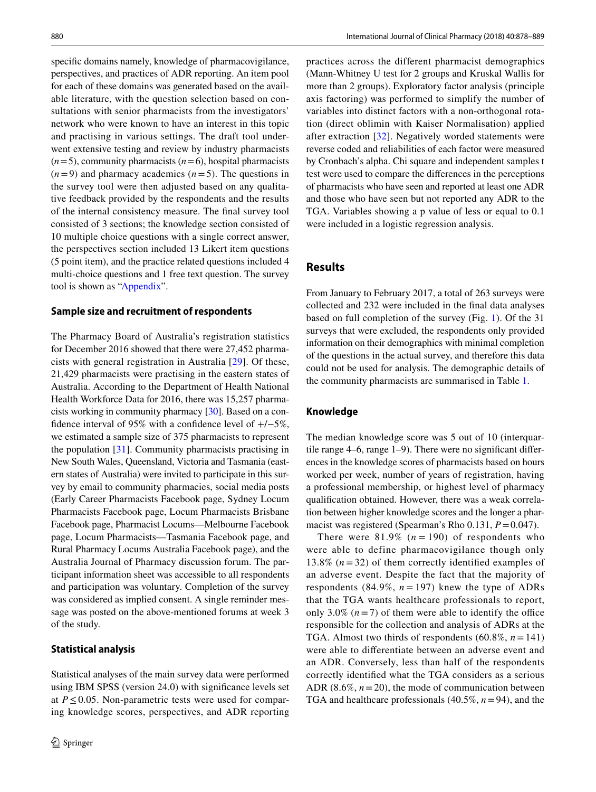specifc domains namely, knowledge of pharmacovigilance, perspectives, and practices of ADR reporting. An item pool for each of these domains was generated based on the available literature, with the question selection based on consultations with senior pharmacists from the investigators' network who were known to have an interest in this topic and practising in various settings. The draft tool underwent extensive testing and review by industry pharmacists  $(n=5)$ , community pharmacists  $(n=6)$ , hospital pharmacists  $(n=9)$  and pharmacy academics  $(n=5)$ . The questions in the survey tool were then adjusted based on any qualitative feedback provided by the respondents and the results of the internal consistency measure. The fnal survey tool consisted of 3 sections; the knowledge section consisted of 10 multiple choice questions with a single correct answer, the perspectives section included 13 Likert item questions (5 point item), and the practice related questions included 4 multi-choice questions and 1 free text question. The survey tool is shown as ["Appendix](#page-7-0)".

#### **Sample size and recruitment of respondents**

The Pharmacy Board of Australia's registration statistics for December 2016 showed that there were 27,452 pharmacists with general registration in Australia [\[29](#page-11-6)]. Of these, 21,429 pharmacists were practising in the eastern states of Australia. According to the Department of Health National Health Workforce Data for 2016, there was 15,257 pharmacists working in community pharmacy [\[30](#page-11-7)]. Based on a confdence interval of 95% with a confdence level of +/−5%, we estimated a sample size of 375 pharmacists to represent the population [\[31](#page-11-8)]. Community pharmacists practising in New South Wales, Queensland, Victoria and Tasmania (eastern states of Australia) were invited to participate in this survey by email to community pharmacies, social media posts (Early Career Pharmacists Facebook page, Sydney Locum Pharmacists Facebook page, Locum Pharmacists Brisbane Facebook page, Pharmacist Locums—Melbourne Facebook page, Locum Pharmacists—Tasmania Facebook page, and Rural Pharmacy Locums Australia Facebook page), and the Australia Journal of Pharmacy discussion forum. The participant information sheet was accessible to all respondents and participation was voluntary. Completion of the survey was considered as implied consent. A single reminder message was posted on the above-mentioned forums at week 3 of the study.

### **Statistical analysis**

Statistical analyses of the main survey data were performed using IBM SPSS (version 24.0) with signifcance levels set at  $P \leq 0.05$ . Non-parametric tests were used for comparing knowledge scores, perspectives, and ADR reporting

practices across the different pharmacist demographics (Mann-Whitney U test for 2 groups and Kruskal Wallis for more than 2 groups). Exploratory factor analysis (principle axis factoring) was performed to simplify the number of variables into distinct factors with a non-orthogonal rotation (direct oblimin with Kaiser Normalisation) applied after extraction [\[32\]](#page-11-9). Negatively worded statements were reverse coded and reliabilities of each factor were measured by Cronbach's alpha. Chi square and independent samples t test were used to compare the diferences in the perceptions of pharmacists who have seen and reported at least one ADR and those who have seen but not reported any ADR to the TGA. Variables showing a p value of less or equal to 0.1 were included in a logistic regression analysis.

# **Results**

From January to February 2017, a total of 263 surveys were collected and 232 were included in the fnal data analyses based on full completion of the survey (Fig. [1](#page-3-0)). Of the 31 surveys that were excluded, the respondents only provided information on their demographics with minimal completion of the questions in the actual survey, and therefore this data could not be used for analysis. The demographic details of the community pharmacists are summarised in Table [1.](#page-3-1)

### **Knowledge**

The median knowledge score was 5 out of 10 (interquartile range 4–6, range 1–9). There were no signifcant diferences in the knowledge scores of pharmacists based on hours worked per week, number of years of registration, having a professional membership, or highest level of pharmacy qualifcation obtained. However, there was a weak correlation between higher knowledge scores and the longer a pharmacist was registered (Spearman's Rho 0.131,  $P = 0.047$ ).

There were  $81.9\%$  ( $n = 190$ ) of respondents who were able to define pharmacovigilance though only 13.8%  $(n=32)$  of them correctly identified examples of an adverse event. Despite the fact that the majority of respondents (84.9%,  $n = 197$ ) knew the type of ADRs that the TGA wants healthcare professionals to report, only 3.0%  $(n=7)$  of them were able to identify the office responsible for the collection and analysis of ADRs at the TGA. Almost two thirds of respondents  $(60.8\%, n=141)$ were able to diferentiate between an adverse event and an ADR. Conversely, less than half of the respondents correctly identifed what the TGA considers as a serious ADR  $(8.6\%, n=20)$ , the mode of communication between TGA and healthcare professionals (40.5%, *n*=94), and the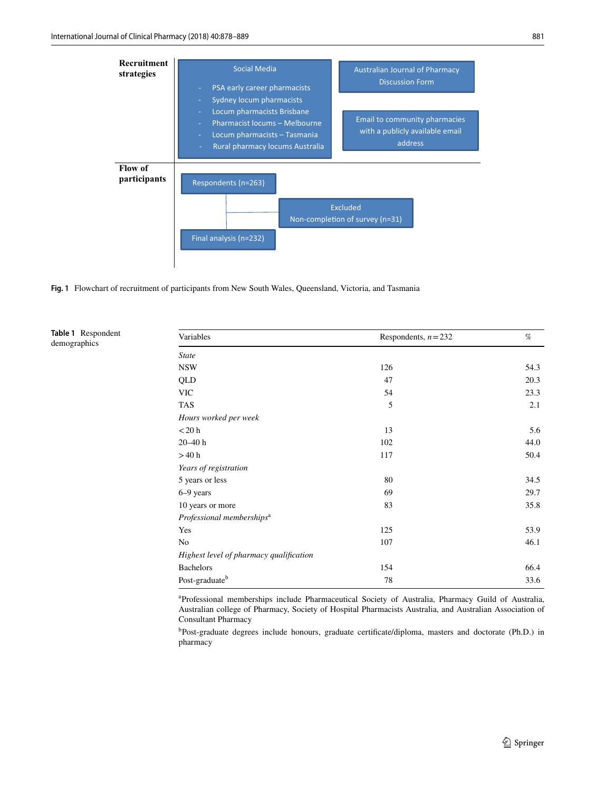

<span id="page-3-0"></span>**Fig. 1** Flowchart of recruitment of participants from New South Wales, Queensland, Victoria, and Tasmania

<span id="page-3-1"></span>**Table 1** Respondent demographics

| Variables                               | Respondents, $n = 232$ | $\%$ |  |
|-----------------------------------------|------------------------|------|--|
| <i>State</i>                            |                        |      |  |
| <b>NSW</b>                              | 126                    | 54.3 |  |
| QLD                                     | 47                     | 20.3 |  |
| <b>VIC</b>                              | 54                     | 23.3 |  |
| <b>TAS</b>                              | 5                      | 2.1  |  |
| Hours worked per week                   |                        |      |  |
| $<$ 20 h                                | 13                     | 5.6  |  |
| $20 - 40$ h                             | 102                    | 44.0 |  |
| >40 h                                   | 117                    | 50.4 |  |
| Years of registration                   |                        |      |  |
| 5 years or less                         | 80                     | 34.5 |  |
| 6–9 years                               | 69                     | 29.7 |  |
| 10 years or more                        | 83                     | 35.8 |  |
| Professional memberships <sup>a</sup>   |                        |      |  |
| Yes                                     | 125                    | 53.9 |  |
| No                                      | 107                    | 46.1 |  |
| Highest level of pharmacy qualification |                        |      |  |
| <b>Bachelors</b>                        | 154                    | 66.4 |  |
| Post-graduate <sup>b</sup>              | 78                     | 33.6 |  |

a Professional memberships include Pharmaceutical Society of Australia, Pharmacy Guild of Australia, Australian college of Pharmacy, Society of Hospital Pharmacists Australia, and Australian Association of Consultant Pharmacy

<sup>b</sup>Post-graduate degrees include honours, graduate certificate/diploma, masters and doctorate (Ph.D.) in pharmacy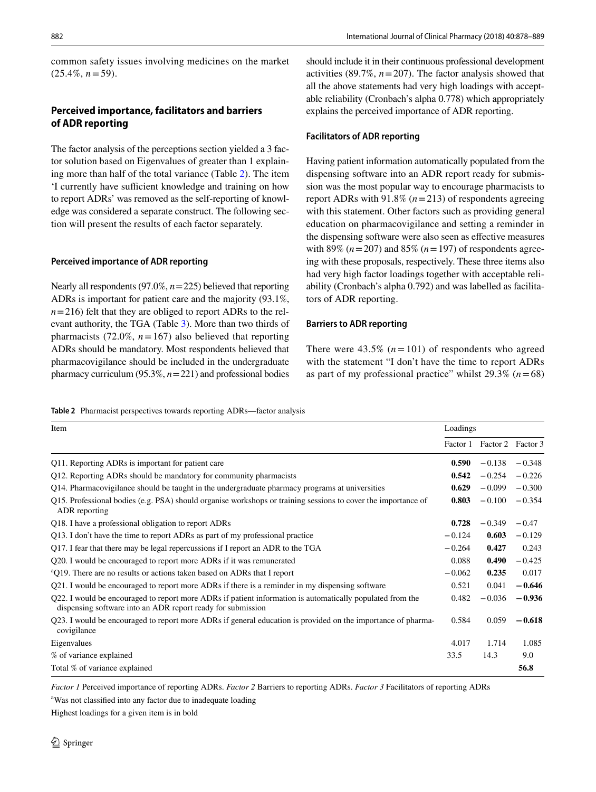common safety issues involving medicines on the market  $(25.4\%, n=59)$ .

### **Perceived importance, facilitators and barriers of ADR reporting**

The factor analysis of the perceptions section yielded a 3 factor solution based on Eigenvalues of greater than 1 explaining more than half of the total variance (Table [2\)](#page-4-0). The item 'I currently have sufficient knowledge and training on how to report ADRs' was removed as the self-reporting of knowledge was considered a separate construct. The following section will present the results of each factor separately.

### **Perceived importance of ADR reporting**

Nearly all respondents (97.0%, *n*=225) believed that reporting ADRs is important for patient care and the majority (93.1%,  $n=216$ ) felt that they are obliged to report ADRs to the relevant authority, the TGA (Table [3](#page-5-0)). More than two thirds of pharmacists (72.0%,  $n = 167$ ) also believed that reporting ADRs should be mandatory. Most respondents believed that pharmacovigilance should be included in the undergraduate pharmacy curriculum (95.3%, *n*=221) and professional bodies should include it in their continuous professional development activities (89.7%, *n*=207). The factor analysis showed that all the above statements had very high loadings with acceptable reliability (Cronbach's alpha 0.778) which appropriately explains the perceived importance of ADR reporting.

#### **Facilitators of ADR reporting**

Having patient information automatically populated from the dispensing software into an ADR report ready for submission was the most popular way to encourage pharmacists to report ADRs with 91.8% (*n*=213) of respondents agreeing with this statement. Other factors such as providing general education on pharmacovigilance and setting a reminder in the dispensing software were also seen as efective measures with 89%  $(n=207)$  and 85%  $(n=197)$  of respondents agreeing with these proposals, respectively. These three items also had very high factor loadings together with acceptable reliability (Cronbach's alpha 0.792) and was labelled as facilitators of ADR reporting.

#### **Barriers to ADR reporting**

There were  $43.5\%$  ( $n = 101$ ) of respondents who agreed with the statement "I don't have the time to report ADRs as part of my professional practice" whilst 29.3% (*n*=68)

<span id="page-4-0"></span>**Table 2** Pharmacist perspectives towards reporting ADRs—factor analysis

| Item                                                                                                                                                                     |          | Loadings                   |          |  |
|--------------------------------------------------------------------------------------------------------------------------------------------------------------------------|----------|----------------------------|----------|--|
|                                                                                                                                                                          |          | Factor 1 Factor 2 Factor 3 |          |  |
| Q11. Reporting ADRs is important for patient care                                                                                                                        | 0.590    | $-0.138$                   | $-0.348$ |  |
| Q12. Reporting ADRs should be mandatory for community pharmacists                                                                                                        | 0.542    | $-0.254$                   | $-0.226$ |  |
| Q14. Pharmacovigilance should be taught in the undergraduate pharmacy programs at universities                                                                           | 0.629    | $-0.099$                   | $-0.300$ |  |
| Q15. Professional bodies (e.g. PSA) should organise workshops or training sessions to cover the importance of<br>ADR reporting                                           | 0.803    | $-0.100$                   | $-0.354$ |  |
| Q18. I have a professional obligation to report ADRs                                                                                                                     | 0.728    | $-0.349$                   | $-0.47$  |  |
| Q13. I don't have the time to report ADRs as part of my professional practice                                                                                            | $-0.124$ | 0.603                      | $-0.129$ |  |
| Q17. I fear that there may be legal repercussions if I report an ADR to the TGA                                                                                          | $-0.264$ | 0.427                      | 0.243    |  |
| Q20. I would be encouraged to report more ADRs if it was remunerated                                                                                                     | 0.088    | 0.490                      | $-0.425$ |  |
| <sup>a</sup> Q19. There are no results or actions taken based on ADRs that I report                                                                                      | $-0.062$ | 0.235                      | 0.017    |  |
| Q21. I would be encouraged to report more ADRs if there is a reminder in my dispensing software                                                                          | 0.521    | 0.041                      | $-0.646$ |  |
| Q22. I would be encouraged to report more ADRs if patient information is automatically populated from the<br>dispensing software into an ADR report ready for submission | 0.482    | $-0.036$                   | $-0.936$ |  |
| Q23. I would be encouraged to report more ADRs if general education is provided on the importance of pharma-<br>covigilance                                              | 0.584    | 0.059                      | $-0.618$ |  |
| Eigenvalues                                                                                                                                                              | 4.017    | 1.714                      | 1.085    |  |
| % of variance explained                                                                                                                                                  | 33.5     | 14.3                       | 9.0      |  |
| Total % of variance explained                                                                                                                                            |          |                            | 56.8     |  |

*Factor 1* Perceived importance of reporting ADRs. *Factor 2* Barriers to reporting ADRs. *Factor 3* Facilitators of reporting ADRs

<sup>a</sup>Was not classified into any factor due to inadequate loading

Highest loadings for a given item is in bold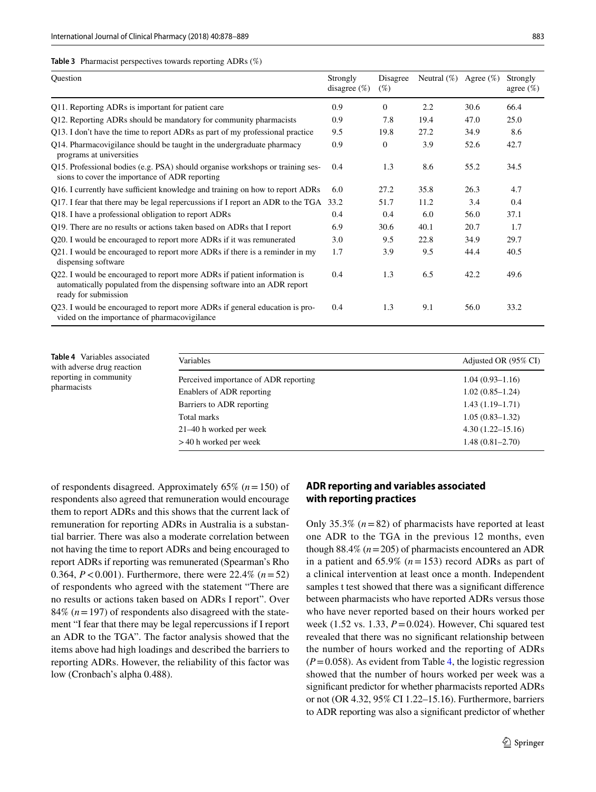#### <span id="page-5-0"></span>**Table 3** Pharmacist perspectives towards reporting ADRs (%)

| Question                                                                                                                                                                    | Strongly<br>disagree $(\%)$ | Disagree<br>$(\%)$ | Neutral $(\%)$ | Agree $(\%)$ | Strongly<br>agree $(\%)$ |
|-----------------------------------------------------------------------------------------------------------------------------------------------------------------------------|-----------------------------|--------------------|----------------|--------------|--------------------------|
| Q11. Reporting ADRs is important for patient care                                                                                                                           | 0.9                         | $\Omega$           | 2.2            | 30.6         | 66.4                     |
| Q12. Reporting ADRs should be mandatory for community pharmacists                                                                                                           | 0.9                         | 7.8                | 19.4           | 47.0         | 25.0                     |
| Q13. I don't have the time to report ADRs as part of my professional practice                                                                                               | 9.5                         | 19.8               | 27.2           | 34.9         | 8.6                      |
| Q14. Pharmacovigilance should be taught in the undergraduate pharmacy<br>programs at universities                                                                           | 0.9                         | $\mathbf{0}$       | 3.9            | 52.6         | 42.7                     |
| Q15. Professional bodies (e.g. PSA) should organise workshops or training ses-<br>sions to cover the importance of ADR reporting                                            | 0.4                         | 1.3                | 8.6            | 55.2         | 34.5                     |
| Q16. I currently have sufficient knowledge and training on how to report ADRs                                                                                               | 6.0                         | 27.2               | 35.8           | 26.3         | 4.7                      |
| Q17. I fear that there may be legal repercussions if I report an ADR to the TGA                                                                                             | 33.2                        | 51.7               | 11.2           | 3.4          | 0.4                      |
| Q18. I have a professional obligation to report ADRs                                                                                                                        | 0.4                         | 0.4                | 6.0            | 56.0         | 37.1                     |
| Q19. There are no results or actions taken based on ADRs that I report                                                                                                      | 6.9                         | 30.6               | 40.1           | 20.7         | 1.7                      |
| Q20. I would be encouraged to report more ADRs if it was remunerated                                                                                                        | 3.0                         | 9.5                | 22.8           | 34.9         | 29.7                     |
| Q21. I would be encouraged to report more ADRs if there is a reminder in my<br>dispensing software                                                                          | 1.7                         | 3.9                | 9.5            | 44.4         | 40.5                     |
| Q22. I would be encouraged to report more ADRs if patient information is<br>automatically populated from the dispensing software into an ADR report<br>ready for submission | 0.4                         | 1.3                | 6.5            | 42.2         | 49.6                     |
| Q23. I would be encouraged to report more ADRs if general education is pro-<br>vided on the importance of pharmacovigilance                                                 | 0.4                         | 1.3                | 9.1            | 56.0         | 33.2                     |

<span id="page-5-1"></span>

|             | Table 4 Variables associated |
|-------------|------------------------------|
|             | with adverse drug reaction   |
|             | reporting in community       |
| pharmacists |                              |

| Variables                             | Adjusted OR (95% CI) |
|---------------------------------------|----------------------|
| Perceived importance of ADR reporting | $1.04(0.93 - 1.16)$  |
| Enablers of ADR reporting             | $1.02(0.85-1.24)$    |
| Barriers to ADR reporting             | $1.43(1.19-1.71)$    |
| Total marks                           | $1.05(0.83 - 1.32)$  |
| 21–40 h worked per week               | $4.30(1.22 - 15.16)$ |
| $>40$ h worked per week               | $1.48(0.81 - 2.70)$  |

of respondents disagreed. Approximately 65% (*n*=150) of respondents also agreed that remuneration would encourage them to report ADRs and this shows that the current lack of remuneration for reporting ADRs in Australia is a substantial barrier. There was also a moderate correlation between not having the time to report ADRs and being encouraged to report ADRs if reporting was remunerated (Spearman's Rho 0.364, *P*<0.001). Furthermore, there were 22.4% (*n*=52) of respondents who agreed with the statement "There are no results or actions taken based on ADRs I report". Over 84% (*n*=197) of respondents also disagreed with the statement "I fear that there may be legal repercussions if I report an ADR to the TGA". The factor analysis showed that the items above had high loadings and described the barriers to reporting ADRs. However, the reliability of this factor was low (Cronbach's alpha 0.488).

### **ADR reporting and variables associated with reporting practices**

Only 35.3% (*n*=82) of pharmacists have reported at least one ADR to the TGA in the previous 12 months, even though 88.4% (*n*=205) of pharmacists encountered an ADR in a patient and 65.9% (*n*=153) record ADRs as part of a clinical intervention at least once a month. Independent samples t test showed that there was a signifcant diference between pharmacists who have reported ADRs versus those who have never reported based on their hours worked per week (1.52 vs. 1.33, *P*=0.024). However, Chi squared test revealed that there was no signifcant relationship between the number of hours worked and the reporting of ADRs  $(P=0.058)$ . As evident from Table [4,](#page-5-1) the logistic regression showed that the number of hours worked per week was a signifcant predictor for whether pharmacists reported ADRs or not (OR 4.32, 95% CI 1.22–15.16). Furthermore, barriers to ADR reporting was also a signifcant predictor of whether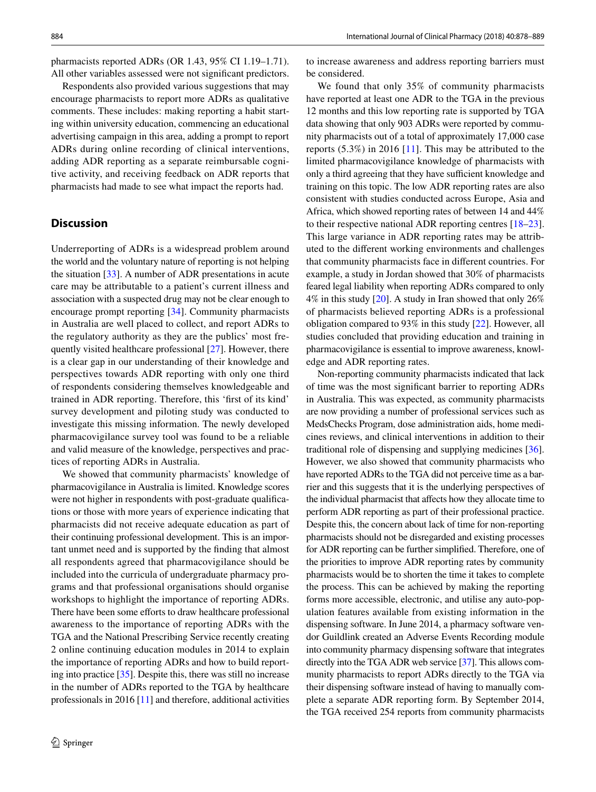pharmacists reported ADRs (OR 1.43, 95% CI 1.19–1.71). All other variables assessed were not signifcant predictors.

Respondents also provided various suggestions that may encourage pharmacists to report more ADRs as qualitative comments. These includes: making reporting a habit starting within university education, commencing an educational advertising campaign in this area, adding a prompt to report ADRs during online recording of clinical interventions, adding ADR reporting as a separate reimbursable cognitive activity, and receiving feedback on ADR reports that pharmacists had made to see what impact the reports had.

### **Discussion**

Underreporting of ADRs is a widespread problem around the world and the voluntary nature of reporting is not helping the situation [\[33](#page-11-10)]. A number of ADR presentations in acute care may be attributable to a patient's current illness and association with a suspected drug may not be clear enough to encourage prompt reporting [[34\]](#page-11-11). Community pharmacists in Australia are well placed to collect, and report ADRs to the regulatory authority as they are the publics' most frequently visited healthcare professional [\[27](#page-11-4)]. However, there is a clear gap in our understanding of their knowledge and perspectives towards ADR reporting with only one third of respondents considering themselves knowledgeable and trained in ADR reporting. Therefore, this 'frst of its kind' survey development and piloting study was conducted to investigate this missing information. The newly developed pharmacovigilance survey tool was found to be a reliable and valid measure of the knowledge, perspectives and practices of reporting ADRs in Australia.

We showed that community pharmacists' knowledge of pharmacovigilance in Australia is limited. Knowledge scores were not higher in respondents with post-graduate qualifcations or those with more years of experience indicating that pharmacists did not receive adequate education as part of their continuing professional development. This is an important unmet need and is supported by the fnding that almost all respondents agreed that pharmacovigilance should be included into the curricula of undergraduate pharmacy programs and that professional organisations should organise workshops to highlight the importance of reporting ADRs. There have been some efforts to draw healthcare professional awareness to the importance of reporting ADRs with the TGA and the National Prescribing Service recently creating 2 online continuing education modules in 2014 to explain the importance of reporting ADRs and how to build reporting into practice [[35\]](#page-11-12). Despite this, there was still no increase in the number of ADRs reported to the TGA by healthcare professionals in 2016 [\[11\]](#page-10-9) and therefore, additional activities to increase awareness and address reporting barriers must be considered.

We found that only 35% of community pharmacists have reported at least one ADR to the TGA in the previous 12 months and this low reporting rate is supported by TGA data showing that only 903 ADRs were reported by community pharmacists out of a total of approximately 17,000 case reports (5.3%) in 2016 [[11\]](#page-10-9). This may be attributed to the limited pharmacovigilance knowledge of pharmacists with only a third agreeing that they have sufficient knowledge and training on this topic. The low ADR reporting rates are also consistent with studies conducted across Europe, Asia and Africa, which showed reporting rates of between 14 and 44% to their respective national ADR reporting centres [\[18](#page-10-16)[–23](#page-11-0)]. This large variance in ADR reporting rates may be attributed to the diferent working environments and challenges that community pharmacists face in diferent countries. For example, a study in Jordan showed that 30% of pharmacists feared legal liability when reporting ADRs compared to only 4% in this study [[20\]](#page-10-17). A study in Iran showed that only 26% of pharmacists believed reporting ADRs is a professional obligation compared to 93% in this study [\[22](#page-11-13)]. However, all studies concluded that providing education and training in pharmacovigilance is essential to improve awareness, knowledge and ADR reporting rates.

Non-reporting community pharmacists indicated that lack of time was the most signifcant barrier to reporting ADRs in Australia. This was expected, as community pharmacists are now providing a number of professional services such as MedsChecks Program, dose administration aids, home medicines reviews, and clinical interventions in addition to their traditional role of dispensing and supplying medicines [[36](#page-11-14)]. However, we also showed that community pharmacists who have reported ADRs to the TGA did not perceive time as a barrier and this suggests that it is the underlying perspectives of the individual pharmacist that afects how they allocate time to perform ADR reporting as part of their professional practice. Despite this, the concern about lack of time for non-reporting pharmacists should not be disregarded and existing processes for ADR reporting can be further simplifed. Therefore, one of the priorities to improve ADR reporting rates by community pharmacists would be to shorten the time it takes to complete the process. This can be achieved by making the reporting forms more accessible, electronic, and utilise any auto-population features available from existing information in the dispensing software. In June 2014, a pharmacy software vendor Guildlink created an Adverse Events Recording module into community pharmacy dispensing software that integrates directly into the TGA ADR web service [[37](#page-11-15)]. This allows community pharmacists to report ADRs directly to the TGA via their dispensing software instead of having to manually complete a separate ADR reporting form. By September 2014, the TGA received 254 reports from community pharmacists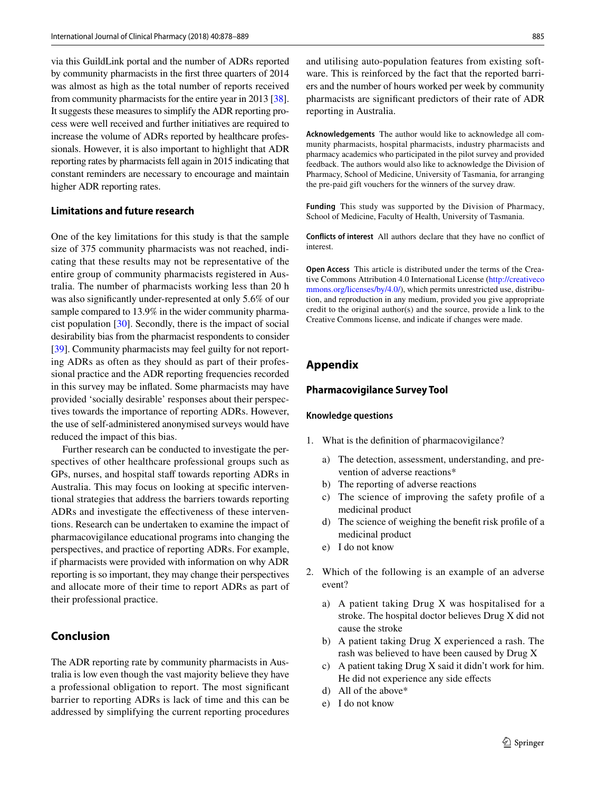via this GuildLink portal and the number of ADRs reported by community pharmacists in the frst three quarters of 2014 was almost as high as the total number of reports received from community pharmacists for the entire year in 2013 [[38](#page-11-16)]. It suggests these measures to simplify the ADR reporting process were well received and further initiatives are required to increase the volume of ADRs reported by healthcare professionals. However, it is also important to highlight that ADR reporting rates by pharmacists fell again in 2015 indicating that constant reminders are necessary to encourage and maintain higher ADR reporting rates.

#### **Limitations and future research**

One of the key limitations for this study is that the sample size of 375 community pharmacists was not reached, indicating that these results may not be representative of the entire group of community pharmacists registered in Australia. The number of pharmacists working less than 20 h was also signifcantly under-represented at only 5.6% of our sample compared to 13.9% in the wider community pharmacist population [[30\]](#page-11-7). Secondly, there is the impact of social desirability bias from the pharmacist respondents to consider [\[39](#page-11-17)]. Community pharmacists may feel guilty for not reporting ADRs as often as they should as part of their professional practice and the ADR reporting frequencies recorded in this survey may be infated. Some pharmacists may have provided 'socially desirable' responses about their perspectives towards the importance of reporting ADRs. However, the use of self-administered anonymised surveys would have reduced the impact of this bias.

Further research can be conducted to investigate the perspectives of other healthcare professional groups such as GPs, nurses, and hospital staff towards reporting ADRs in Australia. This may focus on looking at specifc interventional strategies that address the barriers towards reporting ADRs and investigate the efectiveness of these interventions. Research can be undertaken to examine the impact of pharmacovigilance educational programs into changing the perspectives, and practice of reporting ADRs. For example, if pharmacists were provided with information on why ADR reporting is so important, they may change their perspectives and allocate more of their time to report ADRs as part of their professional practice.

### **Conclusion**

The ADR reporting rate by community pharmacists in Australia is low even though the vast majority believe they have a professional obligation to report. The most signifcant barrier to reporting ADRs is lack of time and this can be addressed by simplifying the current reporting procedures and utilising auto-population features from existing software. This is reinforced by the fact that the reported barriers and the number of hours worked per week by community pharmacists are signifcant predictors of their rate of ADR reporting in Australia.

**Acknowledgements** The author would like to acknowledge all community pharmacists, hospital pharmacists, industry pharmacists and pharmacy academics who participated in the pilot survey and provided feedback. The authors would also like to acknowledge the Division of Pharmacy, School of Medicine, University of Tasmania, for arranging the pre-paid gift vouchers for the winners of the survey draw.

**Funding** This study was supported by the Division of Pharmacy, School of Medicine, Faculty of Health, University of Tasmania.

**Conflicts of interest** All authors declare that they have no confict of interest.

**Open Access** This article is distributed under the terms of the Creative Commons Attribution 4.0 International License ([http://creativeco](http://creativecommons.org/licenses/by/4.0/) [mmons.org/licenses/by/4.0/](http://creativecommons.org/licenses/by/4.0/)), which permits unrestricted use, distribution, and reproduction in any medium, provided you give appropriate credit to the original author(s) and the source, provide a link to the Creative Commons license, and indicate if changes were made.

### <span id="page-7-0"></span>**Appendix**

#### **Pharmacovigilance Survey Tool**

#### **Knowledge questions**

- 1. What is the defnition of pharmacovigilance?
	- a) The detection, assessment, understanding, and prevention of adverse reactions\*
	- b) The reporting of adverse reactions
	- c) The science of improving the safety profle of a medicinal product
	- d) The science of weighing the beneft risk profle of a medicinal product
	- e) I do not know
- 2. Which of the following is an example of an adverse event?
	- a) A patient taking Drug X was hospitalised for a stroke. The hospital doctor believes Drug X did not cause the stroke
	- b) A patient taking Drug X experienced a rash. The rash was believed to have been caused by Drug X
	- c) A patient taking Drug X said it didn't work for him. He did not experience any side effects
	- d) All of the above\*
	- e) I do not know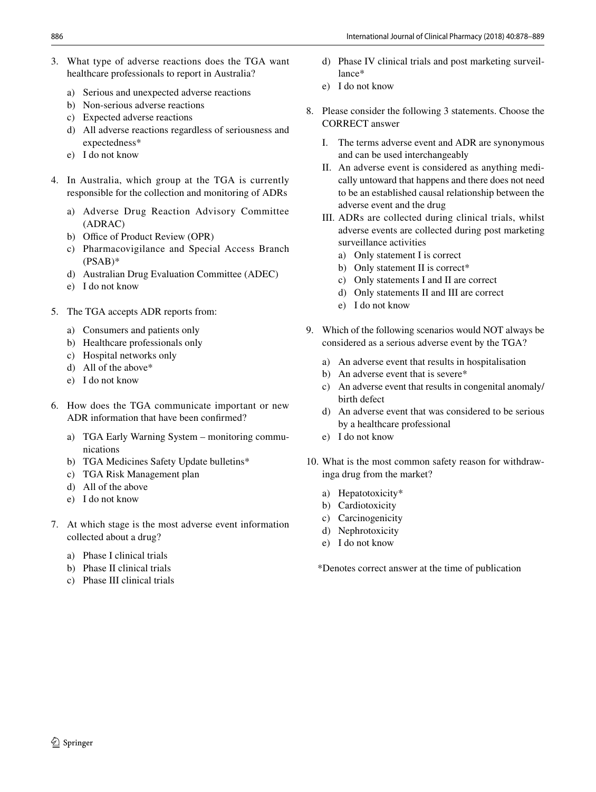- 3. What type of adverse reactions does the TGA want healthcare professionals to report in Australia?
	- a) Serious and unexpected adverse reactions
	- b) Non-serious adverse reactions
	- c) Expected adverse reactions
	- d) All adverse reactions regardless of seriousness and expectedness\*
	- e) I do not know
- 4. In Australia, which group at the TGA is currently responsible for the collection and monitoring of ADRs
	- a) Adverse Drug Reaction Advisory Committee (ADRAC)
	- b) Office of Product Review (OPR)
	- c) Pharmacovigilance and Special Access Branch  $(PSAB)^*$
	- d) Australian Drug Evaluation Committee (ADEC)
	- e) I do not know
- 5. The TGA accepts ADR reports from:
	- a) Consumers and patients only
	- b) Healthcare professionals only
	- c) Hospital networks only
	- d) All of the above\*
	- e) I do not know
- 6. How does the TGA communicate important or new ADR information that have been confrmed?
	- a) TGA Early Warning System monitoring communications
	- b) TGA Medicines Safety Update bulletins\*
	- c) TGA Risk Management plan
	- d) All of the above
	- e) I do not know
- 7. At which stage is the most adverse event information collected about a drug?
	- a) Phase I clinical trials
	- b) Phase II clinical trials
	- c) Phase III clinical trials
- d) Phase IV clinical trials and post marketing surveillance\*
- e) I do not know
- 8. Please consider the following 3 statements. Choose the CORRECT answer
	- I. The terms adverse event and ADR are synonymous and can be used interchangeably
	- II. An adverse event is considered as anything medically untoward that happens and there does not need to be an established causal relationship between the adverse event and the drug
	- III. ADRs are collected during clinical trials, whilst adverse events are collected during post marketing surveillance activities
		- a) Only statement I is correct
		- b) Only statement II is correct<sup>\*</sup>
		- c) Only statements I and II are correct
		- d) Only statements II and III are correct
		- e) I do not know
- 9. Which of the following scenarios would NOT always be considered as a serious adverse event by the TGA?
	- a) An adverse event that results in hospitalisation
	- b) An adverse event that is severe\*
	- c) An adverse event that results in congenital anomaly/ birth defect
	- d) An adverse event that was considered to be serious by a healthcare professional
	- e) I do not know
- 10. What is the most common safety reason for withdrawinga drug from the market?
	- a) Hepatotoxicity\*
	- b) Cardiotoxicity
	- c) Carcinogenicity
	- d) Nephrotoxicity
	- e) I do not know

\*Denotes correct answer at the time of publication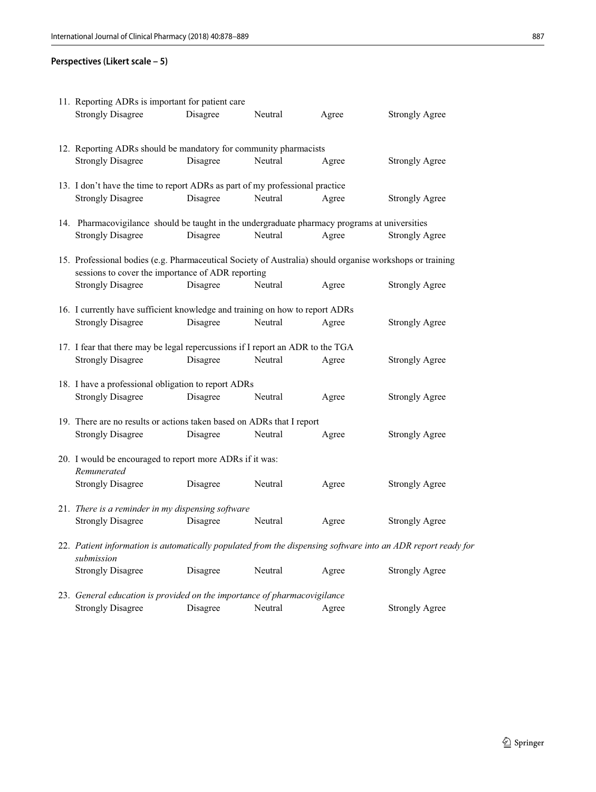# **Perspectives (Likert scale – 5)**

| 11. Reporting ADRs is important for patient care                                                                                                              |          |         |       |                       |  |
|---------------------------------------------------------------------------------------------------------------------------------------------------------------|----------|---------|-------|-----------------------|--|
| <b>Strongly Disagree</b>                                                                                                                                      | Disagree | Neutral | Agree | <b>Strongly Agree</b> |  |
| 12. Reporting ADRs should be mandatory for community pharmacists                                                                                              |          |         |       |                       |  |
| <b>Strongly Disagree</b>                                                                                                                                      | Disagree | Neutral | Agree | <b>Strongly Agree</b> |  |
| 13. I don't have the time to report ADRs as part of my professional practice                                                                                  |          |         |       |                       |  |
| <b>Strongly Disagree</b>                                                                                                                                      | Disagree | Neutral | Agree | <b>Strongly Agree</b> |  |
| 14. Pharmacovigilance should be taught in the undergraduate pharmacy programs at universities                                                                 |          |         |       |                       |  |
| <b>Strongly Disagree</b>                                                                                                                                      | Disagree | Neutral | Agree | <b>Strongly Agree</b> |  |
| 15. Professional bodies (e.g. Pharmaceutical Society of Australia) should organise workshops or training<br>sessions to cover the importance of ADR reporting |          |         |       |                       |  |
| <b>Strongly Disagree</b>                                                                                                                                      | Disagree | Neutral | Agree | <b>Strongly Agree</b> |  |
| 16. I currently have sufficient knowledge and training on how to report ADRs                                                                                  |          |         |       |                       |  |
| <b>Strongly Disagree</b>                                                                                                                                      | Disagree | Neutral | Agree | <b>Strongly Agree</b> |  |
| 17. I fear that there may be legal repercussions if I report an ADR to the TGA                                                                                |          |         |       |                       |  |
| <b>Strongly Disagree</b>                                                                                                                                      | Disagree | Neutral | Agree | <b>Strongly Agree</b> |  |
| 18. I have a professional obligation to report ADRs                                                                                                           |          |         |       |                       |  |
| <b>Strongly Disagree</b>                                                                                                                                      | Disagree | Neutral | Agree | <b>Strongly Agree</b> |  |
| 19. There are no results or actions taken based on ADRs that I report                                                                                         |          |         |       |                       |  |
| <b>Strongly Disagree</b>                                                                                                                                      | Disagree | Neutral | Agree | <b>Strongly Agree</b> |  |
| 20. I would be encouraged to report more ADRs if it was:<br>Remunerated                                                                                       |          |         |       |                       |  |
| <b>Strongly Disagree</b>                                                                                                                                      | Disagree | Neutral | Agree | <b>Strongly Agree</b> |  |
| 21. There is a reminder in my dispensing software                                                                                                             |          |         |       |                       |  |
| <b>Strongly Disagree</b>                                                                                                                                      | Disagree | Neutral | Agree | <b>Strongly Agree</b> |  |
| 22. Patient information is automatically populated from the dispensing software into an ADR report ready for<br>submission                                    |          |         |       |                       |  |
| <b>Strongly Disagree</b>                                                                                                                                      | Disagree | Neutral | Agree | <b>Strongly Agree</b> |  |
| 23. General education is provided on the importance of pharmacovigilance                                                                                      |          |         |       |                       |  |
| <b>Strongly Disagree</b>                                                                                                                                      | Disagree | Neutral | Agree | <b>Strongly Agree</b> |  |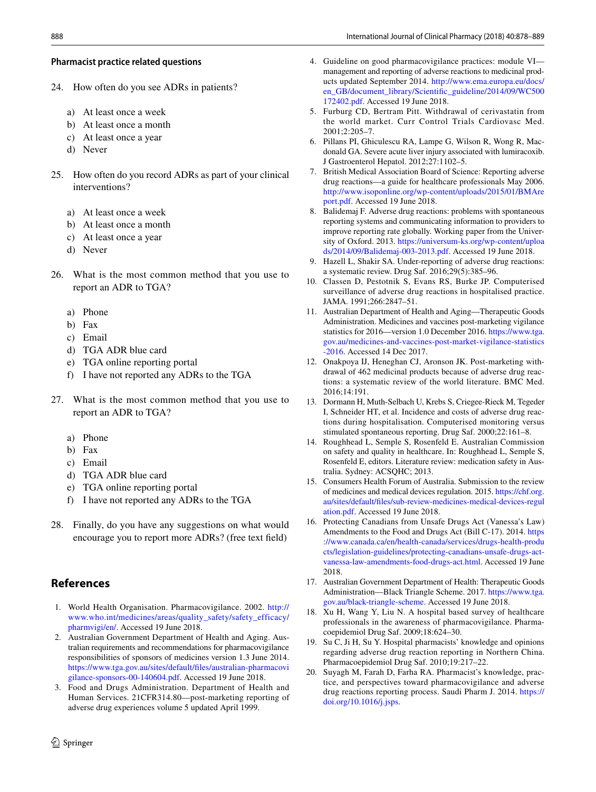### **Pharmacist practice related questions**

- 24. How often do you see ADRs in patients?
	- a) At least once a week
	- b) At least once a month
	- c) At least once a year
	- d) Never
- 25. How often do you record ADRs as part of your clinical interventions?
	- a) At least once a week
	- b) At least once a month
	- c) At least once a year
	- d) Never
- 26. What is the most common method that you use to report an ADR to TGA?
	- a) Phone
	- b) Fax
	- c) Email
	- d) TGA ADR blue card
	- e) TGA online reporting portal
	- f) I have not reported any ADRs to the TGA
- 27. What is the most common method that you use to report an ADR to TGA?
	- a) Phone
	- b) Fax
	- c) Email
	- d) TGA ADR blue card
	- e) TGA online reporting portal
	- f) I have not reported any ADRs to the TGA
- 28. Finally, do you have any suggestions on what would encourage you to report more ADRs? (free text feld)

# **References**

- <span id="page-10-0"></span>1. World Health Organisation. Pharmacovigilance. 2002. [http://](http://www.who.int/medicines/areas/quality_safety/safety_efficacy/pharmvigi/en/) [www.who.int/medicines/areas/quality\\_safety/safety\\_efficacy/](http://www.who.int/medicines/areas/quality_safety/safety_efficacy/pharmvigi/en/) [pharmvigi/en/](http://www.who.int/medicines/areas/quality_safety/safety_efficacy/pharmvigi/en/). Accessed 19 June 2018.
- <span id="page-10-1"></span>2. Australian Government Department of Health and Aging. Australian requirements and recommendations for pharmacovigilance responsibilities of sponsors of medicines version 1.3 June 2014. [https://www.tga.gov.au/sites/default/fles/australian-pharmacovi](https://www.tga.gov.au/sites/default/files/australian-pharmacovigilance-sponsors-00-140604.pdf) [gilance-sponsors-00-140604.pdf.](https://www.tga.gov.au/sites/default/files/australian-pharmacovigilance-sponsors-00-140604.pdf) Accessed 19 June 2018.
- 3. Food and Drugs Administration. Department of Health and Human Services. 21CFR314.80—post-marketing reporting of adverse drug experiences volume 5 updated April 1999.
- <span id="page-10-2"></span>4. Guideline on good pharmacovigilance practices: module VI management and reporting of adverse reactions to medicinal products updated September 2014. [http://www.ema.europa.eu/docs/](http://www.ema.europa.eu/docs/en_GB/document_library/Scientific_guideline/2014/09/WC500172402.pdf) [en\\_GB/document\\_library/Scientifc\\_guideline/2014/09/WC500](http://www.ema.europa.eu/docs/en_GB/document_library/Scientific_guideline/2014/09/WC500172402.pdf) [172402.pdf.](http://www.ema.europa.eu/docs/en_GB/document_library/Scientific_guideline/2014/09/WC500172402.pdf) Accessed 19 June 2018.
- <span id="page-10-3"></span>5. Furburg CD, Bertram Pitt. Withdrawal of cerivastatin from the world market. Curr Control Trials Cardiovasc Med. 2001;2:205–7.
- <span id="page-10-4"></span>6. Pillans PI, Ghiculescu RA, Lampe G, Wilson R, Wong R, Macdonald GA. Severe acute liver injury associated with lumiracoxib. J Gastroenterol Hepatol. 2012;27:1102–5.
- <span id="page-10-5"></span>7. British Medical Association Board of Science: Reporting adverse drug reactions—a guide for healthcare professionals May 2006. [http://www.isoponline.org/wp-content/uploads/2015/01/BMAre](http://www.isoponline.org/wp-content/uploads/2015/01/BMAreport.pdf) [port.pdf.](http://www.isoponline.org/wp-content/uploads/2015/01/BMAreport.pdf) Accessed 19 June 2018.
- <span id="page-10-6"></span>8. Balidemaj F. Adverse drug reactions: problems with spontaneous reporting systems and communicating information to providers to improve reporting rate globally. Working paper from the University of Oxford. 2013. [https://universum-ks.org/wp-content/uploa](https://universum-ks.org/wp-content/uploads/2014/09/Balidemaj-003-2013.pdf) [ds/2014/09/Balidemaj-003-2013.pdf](https://universum-ks.org/wp-content/uploads/2014/09/Balidemaj-003-2013.pdf). Accessed 19 June 2018.
- <span id="page-10-7"></span>9. Hazell L, Shakir SA. Under-reporting of adverse drug reactions: a systematic review. Drug Saf. 2016;29(5):385–96.
- <span id="page-10-8"></span>10. Classen D, Pestotnik S, Evans RS, Burke JP. Computerised surveillance of adverse drug reactions in hospitalised practice. JAMA. 1991;266:2847–51.
- <span id="page-10-9"></span>11. Australian Department of Health and Aging—Therapeutic Goods Administration. Medicines and vaccines post-marketing vigilance statistics for 2016—version 1.0 December 2016. [https://www.tga.](https://www.tga.gov.au/medicines-and-vaccines-post-market-vigilance-statistics-2016) [gov.au/medicines-and-vaccines-post-market-vigilance-statistics](https://www.tga.gov.au/medicines-and-vaccines-post-market-vigilance-statistics-2016) [-2016](https://www.tga.gov.au/medicines-and-vaccines-post-market-vigilance-statistics-2016). Accessed 14 Dec 2017.
- <span id="page-10-10"></span>12. Onakpoya IJ, Heneghan CJ, Aronson JK. Post-marketing withdrawal of 462 medicinal products because of adverse drug reactions: a systematic review of the world literature. BMC Med. 2016;14:191.
- <span id="page-10-11"></span>13. Dormann H, Muth-Selbach U, Krebs S, Criegee-Rieck M, Tegeder I, Schneider HT, et al. Incidence and costs of adverse drug reactions during hospitalisation. Computerised monitoring versus stimulated spontaneous reporting. Drug Saf. 2000;22:161–8.
- <span id="page-10-12"></span>14. Roughhead L, Semple S, Rosenfeld E. Australian Commission on safety and quality in healthcare. In: Roughhead L, Semple S, Rosenfeld E, editors. Literature review: medication safety in Australia. Sydney: ACSQHC; 2013.
- <span id="page-10-13"></span>15. Consumers Health Forum of Australia. Submission to the review of medicines and medical devices regulation. 2015. [https://chf.org.](https://chf.org.au/sites/default/files/sub-review-medicines-medical-devices-regulation.pdf) [au/sites/default/fles/sub-review-medicines-medical-devices-regul](https://chf.org.au/sites/default/files/sub-review-medicines-medical-devices-regulation.pdf) [ation.pdf.](https://chf.org.au/sites/default/files/sub-review-medicines-medical-devices-regulation.pdf) Accessed 19 June 2018.
- <span id="page-10-14"></span>16. Protecting Canadians from Unsafe Drugs Act (Vanessa's Law) Amendments to the Food and Drugs Act (Bill C-17). 2014. [https](https://www.canada.ca/en/health-canada/services/drugs-health-products/legislation-guidelines/protecting-canadians-unsafe-drugs-act-vanessa-law-amendments-food-drugs-act.html) [://www.canada.ca/en/health-canada/services/drugs-health-produ](https://www.canada.ca/en/health-canada/services/drugs-health-products/legislation-guidelines/protecting-canadians-unsafe-drugs-act-vanessa-law-amendments-food-drugs-act.html) [cts/legislation-guidelines/protecting-canadians-unsafe-drugs-act](https://www.canada.ca/en/health-canada/services/drugs-health-products/legislation-guidelines/protecting-canadians-unsafe-drugs-act-vanessa-law-amendments-food-drugs-act.html)[vanessa-law-amendments-food-drugs-act.html](https://www.canada.ca/en/health-canada/services/drugs-health-products/legislation-guidelines/protecting-canadians-unsafe-drugs-act-vanessa-law-amendments-food-drugs-act.html). Accessed 19 June 2018.
- <span id="page-10-15"></span>17. Australian Government Department of Health: Therapeutic Goods Administration—Black Triangle Scheme. 2017. [https://www.tga.](https://www.tga.gov.au/black-triangle-scheme) [gov.au/black-triangle-scheme.](https://www.tga.gov.au/black-triangle-scheme) Accessed 19 June 2018.
- <span id="page-10-16"></span>18. Xu H, Wang Y, Liu N. A hospital based survey of healthcare professionals in the awareness of pharmacovigilance. Pharmacoepidemiol Drug Saf. 2009;18:624–30.
- 19. Su C, Ji H, Su Y. Hospital pharmacists' knowledge and opinions regarding adverse drug reaction reporting in Northern China. Pharmacoepidemiol Drug Saf. 2010;19:217–22.
- <span id="page-10-17"></span>20. Suyagh M, Farah D, Farha RA. Pharmacist's knowledge, practice, and perspectives toward pharmacovigilance and adverse drug reactions reporting process. Saudi Pharm J. 2014. [https://](https://doi.org/10.1016/j.jsps) [doi.org/10.1016/j.jsps](https://doi.org/10.1016/j.jsps).